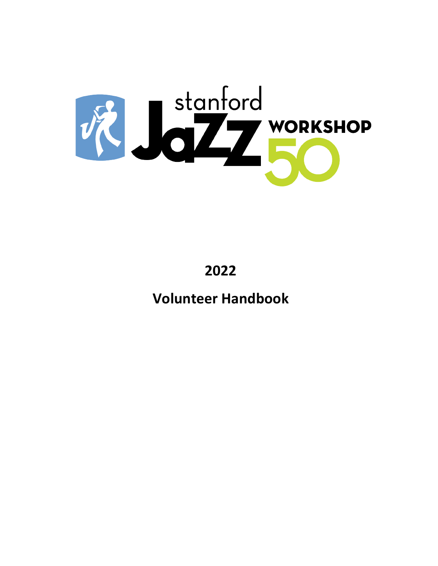

**2022**

**Volunteer Handbook**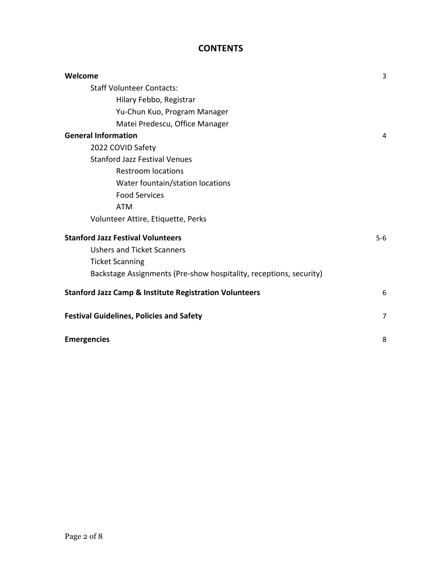# **CONTENTS**

| Welcome                                                            | 3     |
|--------------------------------------------------------------------|-------|
| <b>Staff Volunteer Contacts:</b>                                   |       |
| Hilary Febbo, Registrar                                            |       |
| Yu-Chun Kuo, Program Manager                                       |       |
| Matei Predescu, Office Manager                                     |       |
| <b>General Information</b>                                         | 4     |
| 2022 COVID Safety                                                  |       |
| <b>Stanford Jazz Festival Venues</b>                               |       |
| <b>Restroom locations</b>                                          |       |
| Water fountain/station locations                                   |       |
| <b>Food Services</b>                                               |       |
| <b>ATM</b>                                                         |       |
| Volunteer Attire, Etiquette, Perks                                 |       |
| <b>Stanford Jazz Festival Volunteers</b>                           | $5-6$ |
| <b>Ushers and Ticket Scanners</b>                                  |       |
| <b>Ticket Scanning</b>                                             |       |
| Backstage Assignments (Pre-show hospitality, receptions, security) |       |
| <b>Stanford Jazz Camp &amp; Institute Registration Volunteers</b>  | 6     |
| <b>Festival Guidelines, Policies and Safety</b>                    | 7     |
| <b>Emergencies</b>                                                 | 8     |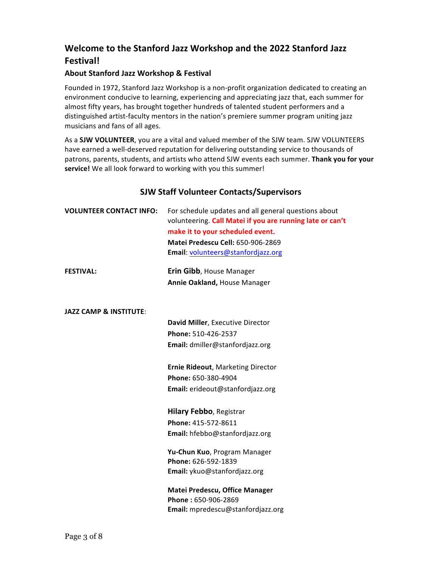# **Welcome to the Stanford Jazz Workshop and the 2022 Stanford Jazz Festival!**

# **About Stanford Jazz Workshop & Festival**

Founded in 1972, Stanford Jazz Workshop is a non-profit organization dedicated to creating an environment conducive to learning, experiencing and appreciating jazz that, each summer for almost fifty years, has brought together hundreds of talented student performers and a distinguished artist-faculty mentors in the nation's premiere summer program uniting jazz musicians and fans of all ages.

As a **SJW VOLUNTEER**, you are a vital and valued member of the SJW team. SJW VOLUNTEERS have earned a well-deserved reputation for delivering outstanding service to thousands of patrons, parents, students, and artists who attend SJW events each summer. Thank you for your service! We all look forward to working with you this summer!

# **SJW Staff Volunteer Contacts/Supervisors**

| <b>VOLUNTEER CONTACT INFO:</b>    | For schedule updates and all general questions about<br>volunteering. Call Matei if you are running late or can't |
|-----------------------------------|-------------------------------------------------------------------------------------------------------------------|
|                                   | make it to your scheduled event.                                                                                  |
|                                   | Matei Predescu Cell: 650-906-2869                                                                                 |
|                                   | Email: volunteers@stanfordjazz.org                                                                                |
|                                   |                                                                                                                   |
| <b>FESTIVAL:</b>                  | Erin Gibb, House Manager                                                                                          |
|                                   | Annie Oakland, House Manager                                                                                      |
|                                   |                                                                                                                   |
| <b>JAZZ CAMP &amp; INSTITUTE:</b> |                                                                                                                   |
|                                   | David Miller, Executive Director                                                                                  |
|                                   | Phone: 510-426-2537                                                                                               |
|                                   | Email: dmiller@stanfordjazz.org                                                                                   |
|                                   |                                                                                                                   |
|                                   | <b>Ernie Rideout, Marketing Director</b>                                                                          |
|                                   | Phone: 650-380-4904                                                                                               |
|                                   | Email: erideout@stanfordjazz.org                                                                                  |
|                                   |                                                                                                                   |
|                                   | <b>Hilary Febbo, Registrar</b>                                                                                    |
|                                   | Phone: 415-572-8611                                                                                               |
|                                   | Email: hfebbo@stanfordjazz.org                                                                                    |
|                                   | Yu-Chun Kuo, Program Manager                                                                                      |
|                                   | Phone: 626-592-1839                                                                                               |
|                                   | Email: ykuo@stanfordjazz.org                                                                                      |
|                                   | Matei Predescu, Office Manager                                                                                    |
|                                   | Phone: 650-906-2869                                                                                               |
|                                   | Email: mpredescu@stanfordjazz.org                                                                                 |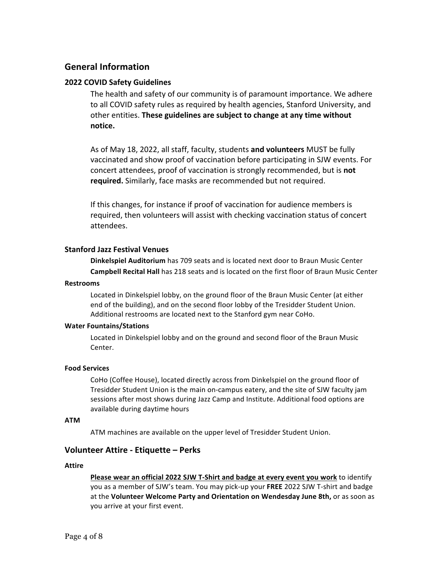# **General Information**

# **2022 COVID Safety Guidelines**

The health and safety of our community is of paramount importance. We adhere to all COVID safety rules as required by health agencies, Stanford University, and other entities. **These guidelines are subject to change at any time without notice.** 

As of May 18, 2022, all staff, faculty, students and volunteers MUST be fully vaccinated and show proof of vaccination before participating in SJW events. For concert attendees, proof of vaccination is strongly recommended, but is **not** required. Similarly, face masks are recommended but not required.

If this changes, for instance if proof of vaccination for audience members is required, then volunteers will assist with checking vaccination status of concert attendees. 

# **Stanford Jazz Festival Venues**

**Dinkelspiel Auditorium** has 709 seats and is located next door to Braun Music Center **Campbell Recital Hall** has 218 seats and is located on the first floor of Braun Music Center

#### **Restrooms**

Located in Dinkelspiel lobby, on the ground floor of the Braun Music Center (at either end of the building), and on the second floor lobby of the Tresidder Student Union. Additional restrooms are located next to the Stanford gym near CoHo.

#### **Water Fountains/Stations**

Located in Dinkelspiel lobby and on the ground and second floor of the Braun Music Center.

#### **Food Services**

CoHo (Coffee House), located directly across from Dinkelspiel on the ground floor of Tresidder Student Union is the main on-campus eatery, and the site of SJW faculty jam sessions after most shows during Jazz Camp and Institute. Additional food options are available during daytime hours

#### **ATM**

ATM machines are available on the upper level of Tresidder Student Union.

# **Volunteer Attire - Etiquette – Perks**

#### **Attire**

**Please wear an official 2022 SJW T-Shirt and badge at every event you work** to identify you as a member of SJW's team. You may pick-up your FREE 2022 SJW T-shirt and badge at the **Volunteer Welcome Party and Orientation on Wendesday June 8th,** or as soon as you arrive at your first event.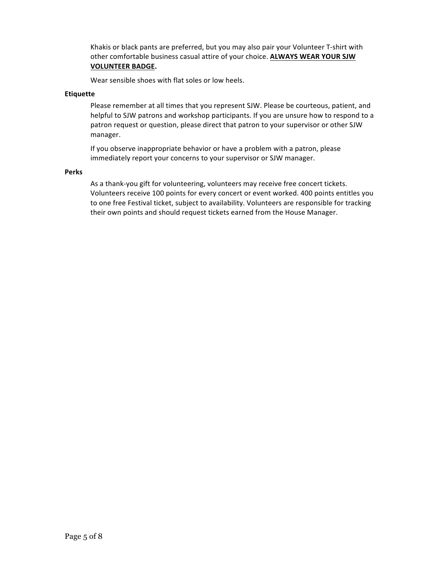Khakis or black pants are preferred, but you may also pair your Volunteer T-shirt with other comfortable business casual attire of your choice. ALWAYS WEAR YOUR SJW **VOLUNTEER BADGE.**

Wear sensible shoes with flat soles or low heels.

### **Etiquette**

Please remember at all times that you represent SJW. Please be courteous, patient, and helpful to SJW patrons and workshop participants. If you are unsure how to respond to a patron request or question, please direct that patron to your supervisor or other SJW manager. 

If you observe inappropriate behavior or have a problem with a patron, please immediately report your concerns to your supervisor or SJW manager.

#### **Perks**

As a thank-you gift for volunteering, volunteers may receive free concert tickets. Volunteers receive 100 points for every concert or event worked. 400 points entitles you to one free Festival ticket, subject to availability. Volunteers are responsible for tracking their own points and should request tickets earned from the House Manager.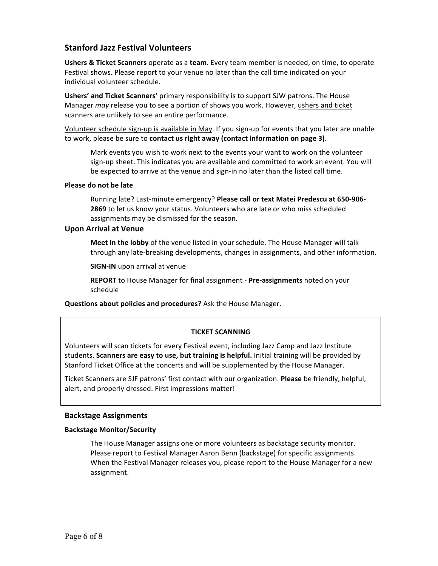# **Stanford Jazz Festival Volunteers**

**Ushers & Ticket Scanners** operate as a team. Every team member is needed, on time, to operate Festival shows. Please report to your venue no later than the call time indicated on your individual volunteer schedule.

**Ushers' and Ticket Scanners'** primary responsibility is to support SJW patrons. The House Manager *may* release you to see a portion of shows you work. However, ushers and ticket scanners are unlikely to see an entire performance.

Volunteer schedule sign-up is available in May. If you sign-up for events that you later are unable to work, please be sure to contact us right away (contact information on page 3).

Mark events you wish to work next to the events your want to work on the volunteer sign-up sheet. This indicates you are available and committed to work an event. You will be expected to arrive at the venue and sign-in no later than the listed call time.

#### **Please do not be late.**

Running late? Last-minute emergency? Please call or text Matei Predescu at 650-906-**2869** to let us know your status. Volunteers who are late or who miss scheduled assignments may be dismissed for the season.

#### **Upon Arrival at Venue**

**Meet in the lobby** of the venue listed in your schedule. The House Manager will talk through any late-breaking developments, changes in assignments, and other information.

**SIGN-IN** upon arrival at venue

**REPORT** to House Manager for final assignment - Pre-assignments noted on your schedule

**Questions about policies and procedures?** Ask the House Manager.

# **TICKET SCANNING**

Volunteers will scan tickets for every Festival event, including Jazz Camp and Jazz Institute students. **Scanners are easy to use, but training is helpful.** Initial training will be provided by Stanford Ticket Office at the concerts and will be supplemented by the House Manager.

Ticket Scanners are SJF patrons' first contact with our organization. **Please** be friendly, helpful, alert, and properly dressed. First impressions matter!

#### **Backstage Assignments**

#### **Backstage Monitor/Security**

The House Manager assigns one or more volunteers as backstage security monitor. Please report to Festival Manager Aaron Benn (backstage) for specific assignments. When the Festival Manager releases you, please report to the House Manager for a new assignment.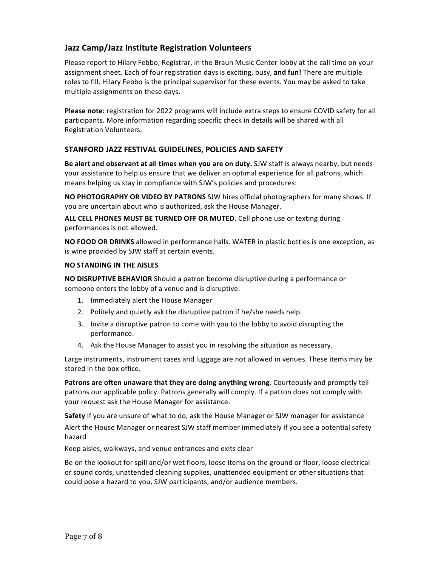# **Jazz Camp/Jazz Institute Registration Volunteers**

Please report to Hilary Febbo, Registrar, in the Braun Music Center lobby at the call time on your assignment sheet. Each of four registration days is exciting, busy, and fun! There are multiple roles to fill. Hilary Febbo is the principal supervisor for these events. You may be asked to take multiple assignments on these days.

**Please note:** registration for 2022 programs will include extra steps to ensure COVID safety for all participants. More information regarding specific check in details will be shared with all Registration Volunteers. 

# STANFORD JAZZ FESTIVAL GUIDELINES, POLICIES AND SAFETY

**Be alert and observant at all times when you are on duty.** SJW staff is always nearby, but needs your assistance to help us ensure that we deliver an optimal experience for all patrons, which means helping us stay in compliance with SJW's policies and procedures:

**NO PHOTOGRAPHY OR VIDEO BY PATRONS** SJW hires official photographers for many shows. If you are uncertain about who is authorized, ask the House Manager.

**ALL CELL PHONES MUST BE TURNED OFF OR MUTED.** Cell phone use or texting during performances is not allowed.

**NO FOOD OR DRINKS** allowed in performance halls. WATER in plastic bottles is one exception, as is wine provided by SJW staff at certain events.

# **NO STANDING IN THE AISLES**

**NO DISRUPTIVE BEHAVIOR** Should a patron become disruptive during a performance or someone enters the lobby of a venue and is disruptive:

- 1. Immediately alert the House Manager
- 2. Politely and quietly ask the disruptive patron if he/she needs help.
- 3. Invite a disruptive patron to come with you to the lobby to avoid disrupting the performance.
- 4. Ask the House Manager to assist you in resolving the situation as necessary.

Large instruments, instrument cases and luggage are not allowed in venues. These items may be stored in the box office.

**Patrons are often unaware that they are doing anything wrong. Courteously and promptly tell** patrons our applicable policy. Patrons generally will comply. If a patron does not comply with your request ask the House Manager for assistance.

**Safety** If you are unsure of what to do, ask the House Manager or SJW manager for assistance

Alert the House Manager or nearest SJW staff member immediately if you see a potential safety hazard

Keep aisles, walkways, and venue entrances and exits clear

Be on the lookout for spill and/or wet floors, loose items on the ground or floor, loose electrical or sound cords, unattended cleaning supplies, unattended equipment or other situations that could pose a hazard to you, SJW participants, and/or audience members.